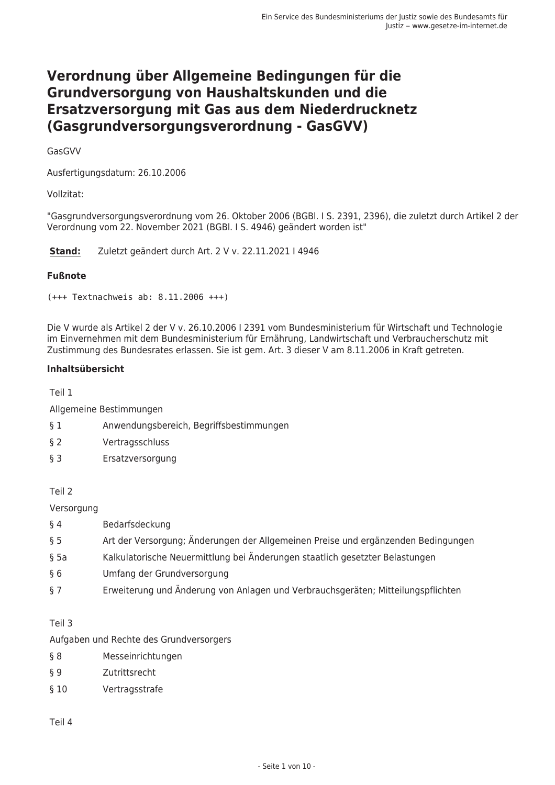# Verordnung über Allgemeine Bedingungen für die Grundversorgung von Haushaltskunden und die Ersatzversorgung mit Gas aus dem Niederdrucknetz (Gasgrundversorgungsverordnung - GasGVV)

GasGVV

Ausfertigungsdatum: 26.10.2006

Vollzitat:

"Gasgrundversorgungsverordnung vom 26. Oktober 2006 (BGBI. I S. 2391, 2396), die zuletzt durch Artikel 2 der Verordnung vom 22. November 2021 (BGBI. I S. 4946) geändert worden ist"

Stand: Zuletzt geändert durch Art. 2 V v. 22.11.2021 | 4946

#### **Fußnote**

 $(+++$  Textnachweis ab: 8.11.2006 +++)

Die V wurde als Artikel 2 der V v. 26.10.2006 | 2391 vom Bundesministerium für Wirtschaft und Technologie im Einvernehmen mit dem Bundesministerium für Ernährung, Landwirtschaft und Verbraucherschutz mit Zustimmung des Bundesrates erlassen. Sie ist gem. Art. 3 dieser V am 8.11.2006 in Kraft getreten.

#### Inhaltsübersicht

Teil 1

Allgemeine Bestimmungen

- Anwendungsbereich, Begriffsbestimmungen  $§ 1$
- $\S$  2 Vertragsschluss
- $63$ Ersatzversorgung

Teil 2

Versorgung

- $§$ 4 Bedarfsdeckung
- $\S$  5 Art der Versorgung; Änderungen der Allgemeinen Preise und ergänzenden Bedingungen
- Kalkulatorische Neuermittlung bei Änderungen staatlich gesetzter Belastungen  $$5a$
- Umfang der Grundversorgung  $§6$
- $\S$  7 Erweiterung und Änderung von Anlagen und Verbrauchsgeräten; Mitteilungspflichten

Teil 3

Aufgaben und Rechte des Grundversorgers

- Messeinrichtungen  $§ 8$
- Zutrittsrecht  $\S$  9
- $§10$ Vertragsstrafe

Teil 4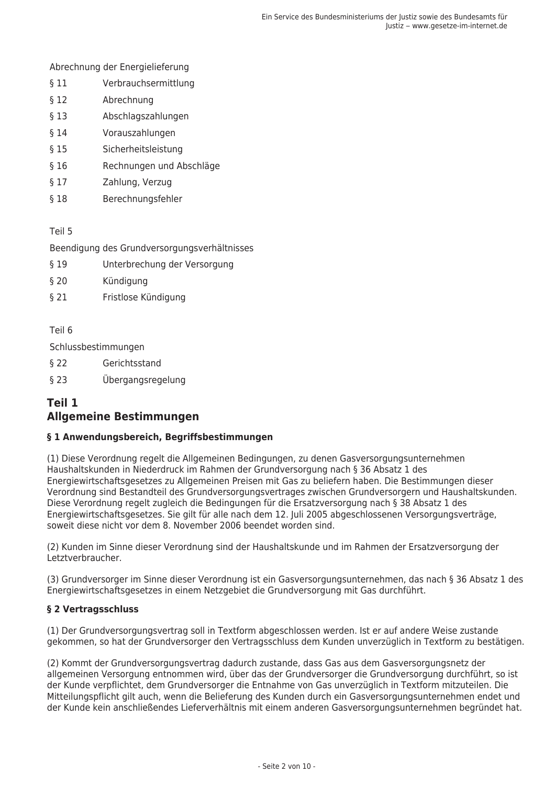Abrechnung der Energielieferung

- $$11$ Verbrauchsermittlung
- $$12$ Abrechnung
- $§$  13 Abschlagszahlungen
- $§14$ Vorauszahlungen
- $$15$ Sicherheitsleistung
- $$16$ Rechnungen und Abschläge
- $$17$ Zahlung, Verzug
- Berechnungsfehler  $§$  18

Teil 5

Beendigung des Grundversorgungsverhältnisses

- $$19$ Unterbrechung der Versorgung
- $§20$ Kündigung
- $$21$ Fristlose Kündigung

Teil 6

Schlussbestimmungen

- $§$  22 Gerichtsstand
- $$23$ Übergangsregelung

# Teil 1 **Allgemeine Bestimmungen**

#### § 1 Anwendungsbereich, Begriffsbestimmungen

(1) Diese Verordnung regelt die Allgemeinen Bedingungen, zu denen Gasversorgungsunternehmen Haushaltskunden in Niederdruck im Rahmen der Grundversorgung nach § 36 Absatz 1 des Energiewirtschaftsgesetzes zu Allgemeinen Preisen mit Gas zu beliefern haben. Die Bestimmungen dieser Verordnung sind Bestandteil des Grundversorgungsvertrages zwischen Grundversorgern und Haushaltskunden. Diese Verordnung regelt zugleich die Bedingungen für die Ersatzversorgung nach § 38 Absatz 1 des Energiewirtschaftsgesetzes. Sie gilt für alle nach dem 12. Juli 2005 abgeschlossenen Versorgungsverträge, soweit diese nicht vor dem 8. November 2006 beendet worden sind.

(2) Kunden im Sinne dieser Verordnung sind der Haushaltskunde und im Rahmen der Ersatzversorgung der Letztverbraucher

(3) Grundversorger im Sinne dieser Verordnung ist ein Gasversorgungsunternehmen, das nach § 36 Absatz 1 des Energiewirtschaftsgesetzes in einem Netzgebiet die Grundversorgung mit Gas durchführt.

#### § 2 Vertragsschluss

(1) Der Grundversorgungsvertrag soll in Textform abgeschlossen werden. Ist er auf andere Weise zustande gekommen, so hat der Grundversorger den Vertragsschluss dem Kunden unverzüglich in Textform zu bestätigen.

(2) Kommt der Grundversorgungsvertrag dadurch zustande, dass Gas aus dem Gasversorgungsnetz der allgemeinen Versorgung entnommen wird, über das der Grundversorger die Grundversorgung durchführt, so ist der Kunde verpflichtet, dem Grundversorger die Entnahme von Gas unverzüglich in Textform mitzuteilen. Die Mitteilungspflicht gilt auch, wenn die Belieferung des Kunden durch ein Gasversorgungsunternehmen endet und der Kunde kein anschließendes Lieferverhältnis mit einem anderen Gasversorgungsunternehmen begründet hat.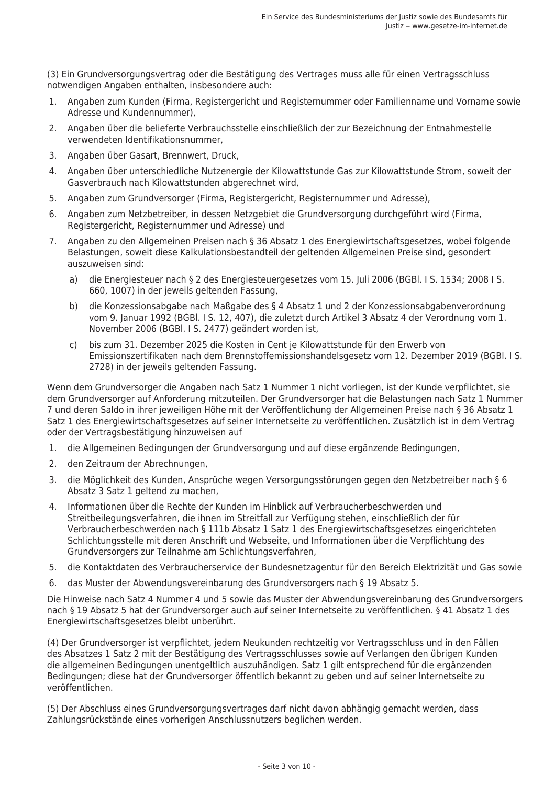(3) Ein Grundversorgungsvertrag oder die Bestätigung des Vertrages muss alle für einen Vertragsschluss notwendigen Angaben enthalten, insbesondere auch:

- Angaben zum Kunden (Firma, Registergericht und Registernummer oder Familienname und Vorname sowie  $1 \quad$ Adresse und Kundennummer),
- 2. Angaben über die belieferte Verbrauchsstelle einschließlich der zur Bezeichnung der Entnahmestelle verwendeten Identifikationsnummer.
- 3. Angaben über Gasart, Brennwert, Druck.
- 4. Angaben über unterschiedliche Nutzenergie der Kilowattstunde Gas zur Kilowattstunde Strom, soweit der Gasverbrauch nach Kilowattstunden abgerechnet wird,
- 5. Angaben zum Grundversorger (Firma, Registergericht, Registernummer und Adresse),
- 6. Angaben zum Netzbetreiber, in dessen Netzgebiet die Grundversorgung durchgeführt wird (Firma, Registergericht, Registernummer und Adresse) und
- 7. Angaben zu den Allgemeinen Preisen nach § 36 Absatz 1 des Energiewirtschaftsgesetzes, wobei folgende Belastungen, soweit diese Kalkulationsbestandteil der geltenden Allgemeinen Preise sind, gesondert auszuweisen sind:
	- $a)$ die Energiesteuer nach § 2 des Energiesteuergesetzes vom 15. Juli 2006 (BGBI. I S. 1534; 2008 I S. 660, 1007) in der jeweils geltenden Fassung,
	- die Konzessionsabgabe nach Maßgabe des § 4 Absatz 1 und 2 der Konzessionsabgabenverordnung  $b)$ vom 9. Januar 1992 (BGBI. I S. 12, 407), die zuletzt durch Artikel 3 Absatz 4 der Verordnung vom 1. November 2006 (BGBI. I S. 2477) geändert worden ist,
	- c) bis zum 31. Dezember 2025 die Kosten in Cent je Kilowattstunde für den Erwerb von Emissionszertifikaten nach dem Brennstoffemissionshandelsgesetz vom 12. Dezember 2019 (BGBI. I S. 2728) in der jeweils geltenden Fassung.

Wenn dem Grundversorger die Angaben nach Satz 1 Nummer 1 nicht vorliegen, ist der Kunde verpflichtet, sie dem Grundversorger auf Anforderung mitzuteilen. Der Grundversorger hat die Belastungen nach Satz 1 Nummer 7 und deren Saldo in ihrer jeweiligen Höhe mit der Veröffentlichung der Allgemeinen Preise nach § 36 Absatz 1 Satz 1 des Energiewirtschaftsgesetzes auf seiner Internetseite zu veröffentlichen. Zusätzlich ist in dem Vertrag oder der Vertragsbestätigung hinzuweisen auf

- 1. die Allgemeinen Bedingungen der Grundversorgung und auf diese ergänzende Bedingungen,
- 2. den Zeitraum der Abrechnungen,
- 3. die Möglichkeit des Kunden, Ansprüche wegen Versorgungsstörungen gegen den Netzbetreiber nach § 6 Absatz 3 Satz 1 geltend zu machen,
- 4. Informationen über die Rechte der Kunden im Hinblick auf Verbraucherbeschwerden und Streitbeilegungsverfahren, die ihnen im Streitfall zur Verfügung stehen, einschließlich der für Verbraucherbeschwerden nach § 111b Absatz 1 Satz 1 des Energiewirtschaftsgesetzes eingerichteten Schlichtungsstelle mit deren Anschrift und Webseite, und Informationen über die Verpflichtung des Grundversorgers zur Teilnahme am Schlichtungsverfahren,
- 5. die Kontaktdaten des Verbraucherservice der Bundesnetzagentur für den Bereich Elektrizität und Gas sowie
- 6. das Muster der Abwendungsvereinbarung des Grundversorgers nach § 19 Absatz 5.

Die Hinweise nach Satz 4 Nummer 4 und 5 sowie das Muster der Abwendungsvereinbarung des Grundversorgers nach § 19 Absatz 5 hat der Grundversorger auch auf seiner Internetseite zu veröffentlichen. § 41 Absatz 1 des Energiewirtschaftsgesetzes bleibt unberührt.

(4) Der Grundversorger ist verpflichtet, jedem Neukunden rechtzeitig vor Vertragsschluss und in den Fällen des Absatzes 1 Satz 2 mit der Bestätigung des Vertragsschlusses sowie auf Verlangen den übrigen Kunden die allgemeinen Bedingungen unentgeltlich auszuhändigen. Satz 1 gilt entsprechend für die ergänzenden Bedingungen; diese hat der Grundversorger öffentlich bekannt zu geben und auf seiner Internetseite zu veröffentlichen.

(5) Der Abschluss eines Grundversorgungsvertrages darf nicht davon abhängig gemacht werden, dass Zahlungsrückstände eines vorherigen Anschlussnutzers beglichen werden.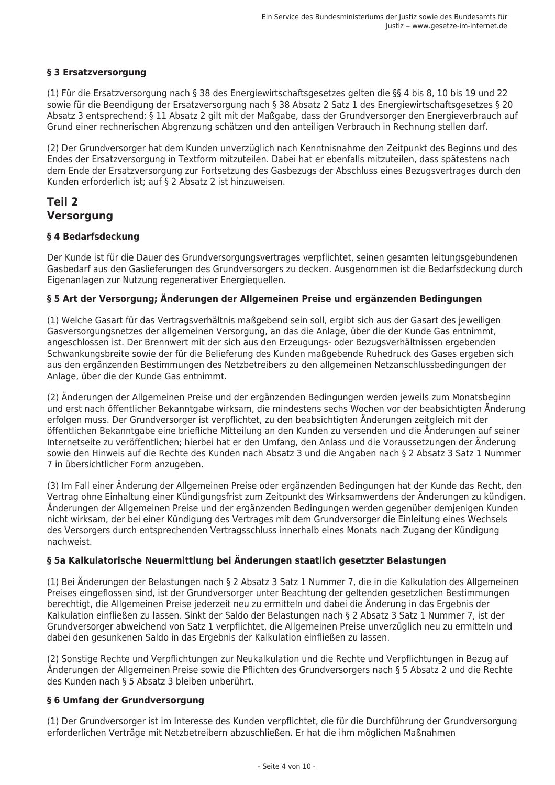### § 3 Ersatzversorgung

(1) Für die Ersatzversorgung nach § 38 des Energiewirtschaftsgesetzes gelten die §§ 4 bis 8, 10 bis 19 und 22 sowie für die Beendigung der Ersatzversorgung nach § 38 Absatz 2 Satz 1 des Energiewirtschaftsgesetzes § 20 Absatz 3 entsprechend; § 11 Absatz 2 gilt mit der Maßgabe, dass der Grundversorger den Energieverbrauch auf Grund einer rechnerischen Abgrenzung schätzen und den anteiligen Verbrauch in Rechnung stellen darf.

(2) Der Grundversorger hat dem Kunden unverzüglich nach Kenntnisnahme den Zeitpunkt des Beginns und des Endes der Ersatzversorgung in Textform mitzuteilen. Dabei hat er ebenfalls mitzuteilen, dass spätestens nach dem Ende der Ersatzversorgung zur Fortsetzung des Gasbezugs der Abschluss eines Bezugsvertrages durch den Kunden erforderlich ist; auf § 2 Absatz 2 ist hinzuweisen.

# Teil 2 **Versorgung**

#### § 4 Bedarfsdeckung

Der Kunde ist für die Dauer des Grundversorgungsvertrages verpflichtet, seinen gesamten leitungsgebundenen Gasbedarf aus den Gaslieferungen des Grundversorgers zu decken. Ausgenommen ist die Bedarfsdeckung durch Eigenanlagen zur Nutzung regenerativer Energieguellen.

#### § 5 Art der Versorgung: Änderungen der Allgemeinen Preise und ergänzenden Bedingungen

(1) Welche Gasart für das Vertragsverhältnis maßgebend sein soll, ergibt sich aus der Gasart des jeweiligen Gasversorgungsnetzes der allgemeinen Versorgung, an das die Anlage, über die der Kunde Gas entnimmt, angeschlossen ist. Der Brennwert mit der sich aus den Erzeugungs- oder Bezugsverhältnissen ergebenden Schwankungsbreite sowie der für die Belieferung des Kunden maßgebende Ruhedruck des Gases ergeben sich aus den ergänzenden Bestimmungen des Netzbetreibers zu den allgemeinen Netzanschlussbedingungen der Anlage, über die der Kunde Gas entnimmt.

(2) Änderungen der Allgemeinen Preise und der ergänzenden Bedingungen werden jeweils zum Monatsbeginn und erst nach öffentlicher Bekanntgabe wirksam, die mindestens sechs Wochen vor der beabsichtigten Änderung erfolgen muss. Der Grundversorger ist verpflichtet, zu den beabsichtigten Änderungen zeitgleich mit der öffentlichen Bekanntgabe eine briefliche Mitteilung an den Kunden zu versenden und die Änderungen auf seiner Internetseite zu veröffentlichen; hierbei hat er den Umfang, den Anlass und die Voraussetzungen der Änderung sowie den Hinweis auf die Rechte des Kunden nach Absatz 3 und die Angaben nach § 2 Absatz 3 Satz 1 Nummer 7 in übersichtlicher Form anzugeben.

(3) Im Fall einer Änderung der Allgemeinen Preise oder ergänzenden Bedingungen hat der Kunde das Recht, den Vertrag ohne Einhaltung einer Kündigungsfrist zum Zeitpunkt des Wirksamwerdens der Änderungen zu kündigen. Änderungen der Allgemeinen Preise und der ergänzenden Bedingungen werden gegenüber demjenigen Kunden nicht wirksam, der bei einer Kündigung des Vertrages mit dem Grundversorger die Einleitung eines Wechsels des Versorgers durch entsprechenden Vertragsschluss innerhalb eines Monats nach Zugang der Kündigung nachweist.

#### § 5a Kalkulatorische Neuermittlung bei Änderungen staatlich gesetzter Belastungen

(1) Bei Änderungen der Belastungen nach § 2 Absatz 3 Satz 1 Nummer 7, die in die Kalkulation des Allgemeinen Preises eingeflossen sind, ist der Grundversorger unter Beachtung der geltenden gesetzlichen Bestimmungen berechtigt, die Allgemeinen Preise jederzeit neu zu ermitteln und dabei die Änderung in das Ergebnis der Kalkulation einfließen zu lassen. Sinkt der Saldo der Belastungen nach § 2 Absatz 3 Satz 1 Nummer 7, ist der Grundversorger abweichend von Satz 1 verpflichtet, die Allgemeinen Preise unverzüglich neu zu ermitteln und dabei den gesunkenen Saldo in das Ergebnis der Kalkulation einfließen zu lassen.

(2) Sonstige Rechte und Verpflichtungen zur Neukalkulation und die Rechte und Verpflichtungen in Bezug auf Änderungen der Allgemeinen Preise sowie die Pflichten des Grundversorgers nach § 5 Absatz 2 und die Rechte des Kunden nach § 5 Absatz 3 bleiben unberührt.

#### § 6 Umfang der Grundversorgung

(1) Der Grundversorger ist im Interesse des Kunden verpflichtet, die für die Durchführung der Grundversorgung erforderlichen Verträge mit Netzbetreibern abzuschließen. Er hat die ihm möglichen Maßnahmen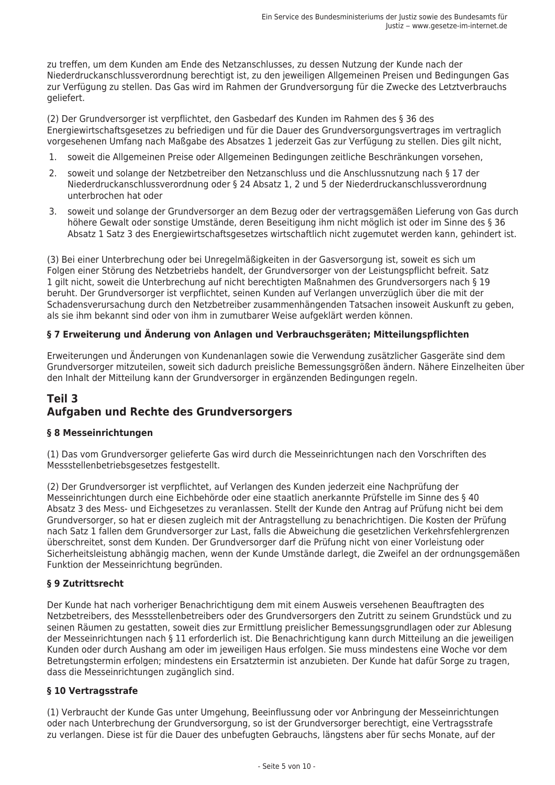zu treffen, um dem Kunden am Ende des Netzanschlusses, zu dessen Nutzung der Kunde nach der Niederdruckanschlussverordnung berechtigt ist, zu den jeweiligen Allgemeinen Preisen und Bedingungen Gas zur Verfügung zu stellen. Das Gas wird im Rahmen der Grundversorgung für die Zwecke des Letztverbrauchs geliefert.

(2) Der Grundversorger ist verpflichtet, den Gasbedarf des Kunden im Rahmen des § 36 des Energiewirtschaftsgesetzes zu befriedigen und für die Dauer des Grundversorgungsvertrages im vertraglich vorgesehenen Umfang nach Maßgabe des Absatzes 1 jederzeit Gas zur Verfügung zu stellen. Dies gilt nicht,

- $1.$ soweit die Allgemeinen Preise oder Allgemeinen Bedingungen zeitliche Beschränkungen vorsehen,
- soweit und solange der Netzbetreiber den Netzanschluss und die Anschlussnutzung nach § 17 der  $2.$ Niederdruckanschlussverordnung oder § 24 Absatz 1, 2 und 5 der Niederdruckanschlussverordnung unterbrochen hat oder
- 3. soweit und solange der Grundversorger an dem Bezug oder der vertragsgemäßen Lieferung von Gas durch höhere Gewalt oder sonstige Umstände, deren Beseitigung ihm nicht möglich ist oder im Sinne des § 36 Absatz 1 Satz 3 des Energiewirtschaftsgesetzes wirtschaftlich nicht zugemutet werden kann, gehindert ist.

(3) Bei einer Unterbrechung oder bei Unregelmäßigkeiten in der Gasversorgung ist, soweit es sich um Folgen einer Störung des Netzbetriebs handelt, der Grundversorger von der Leistungspflicht befreit. Satz 1 gilt nicht, soweit die Unterbrechung auf nicht berechtigten Maßnahmen des Grundversorgers nach § 19 beruht. Der Grundversorger ist verpflichtet, seinen Kunden auf Verlangen unverzüglich über die mit der Schadensverursachung durch den Netzbetreiber zusammenhängenden Tatsachen insoweit Auskunft zu geben, als sie ihm bekannt sind oder von ihm in zumutbarer Weise aufgeklärt werden können.

#### § 7 Erweiterung und Änderung von Anlagen und Verbrauchsgeräten: Mitteilungspflichten

Erweiterungen und Änderungen von Kundenanlagen sowie die Verwendung zusätzlicher Gasgeräte sind dem Grundversorger mitzuteilen, soweit sich dadurch preisliche Bemessungsgrößen ändern. Nähere Einzelheiten über den Inhalt der Mitteilung kann der Grundversorger in ergänzenden Bedingungen regeln.

# Teil 3 Aufgaben und Rechte des Grundversorgers

# § 8 Messeinrichtungen

(1) Das vom Grundversorger gelieferte Gas wird durch die Messeinrichtungen nach den Vorschriften des Messstellenbetriebsgesetzes festgestellt.

(2) Der Grundversorger ist verpflichtet, auf Verlangen des Kunden jederzeit eine Nachprüfung der Messeinrichtungen durch eine Eichbehörde oder eine staatlich anerkannte Prüfstelle im Sinne des § 40 Absatz 3 des Mess- und Eichgesetzes zu veranlassen. Stellt der Kunde den Antrag auf Prüfung nicht bei dem Grundversorger, so hat er diesen zugleich mit der Antragstellung zu benachrichtigen. Die Kosten der Prüfung nach Satz 1 fallen dem Grundversorger zur Last, falls die Abweichung die gesetzlichen Verkehrsfehlergrenzen überschreitet, sonst dem Kunden. Der Grundversorger darf die Prüfung nicht von einer Vorleistung oder Sicherheitsleistung abhängig machen, wenn der Kunde Umstände darlegt, die Zweifel an der ordnungsgemäßen Funktion der Messeinrichtung begründen.

#### § 9 Zutrittsrecht

Der Kunde hat nach vorheriger Benachrichtigung dem mit einem Ausweis versehenen Beauftragten des Netzbetreibers, des Messstellenbetreibers oder des Grundversorgers den Zutritt zu seinem Grundstück und zu seinen Räumen zu gestatten, soweit dies zur Ermittlung preislicher Bemessungsgrundlagen oder zur Ablesung der Messeinrichtungen nach § 11 erforderlich ist. Die Benachrichtigung kann durch Mitteilung an die jeweiligen Kunden oder durch Aushang am oder im jeweiligen Haus erfolgen. Sie muss mindestens eine Woche vor dem Betretungstermin erfolgen; mindestens ein Ersatztermin ist anzubieten. Der Kunde hat dafür Sorge zu tragen, dass die Messeinrichtungen zugänglich sind.

#### § 10 Vertragsstrafe

(1) Verbraucht der Kunde Gas unter Umgehung, Beeinflussung oder vor Anbringung der Messeinrichtungen oder nach Unterbrechung der Grundversorgung, so ist der Grundversorger berechtigt, eine Vertragsstrafe zu verlangen. Diese ist für die Dauer des unbefugten Gebrauchs, längstens aber für sechs Monate, auf der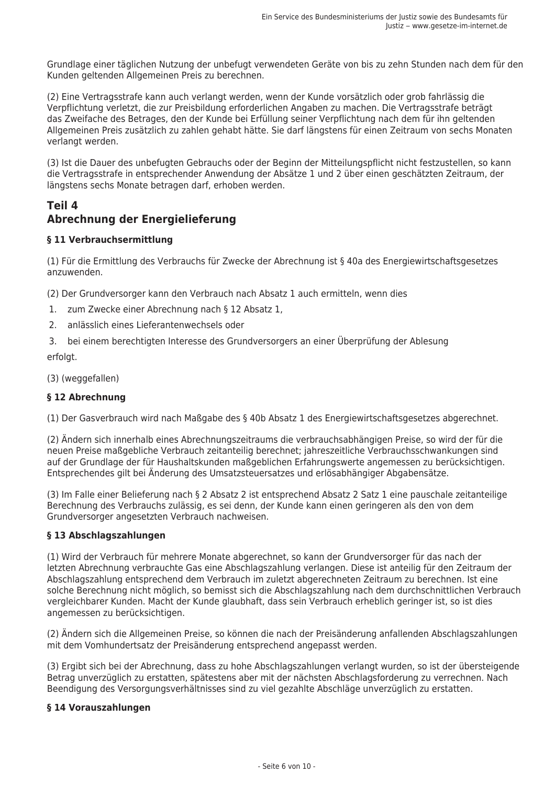Grundlage einer täglichen Nutzung der unbefugt verwendeten Geräte von bis zu zehn Stunden nach dem für den Kunden geltenden Allgemeinen Preis zu berechnen.

(2) Eine Vertragsstrafe kann auch verlangt werden, wenn der Kunde vorsätzlich oder grob fahrlässig die Verpflichtung verletzt, die zur Preisbildung erforderlichen Angaben zu machen. Die Vertragsstrafe beträgt das Zweifache des Betrages, den der Kunde bei Erfüllung seiner Verpflichtung nach dem für ihn geltenden Allgemeinen Preis zusätzlich zu zahlen gehabt hätte. Sie darf längstens für einen Zeitraum von sechs Monaten verlangt werden.

(3) Ist die Dauer des unbefugten Gebrauchs oder der Beginn der Mitteilungspflicht nicht festzustellen, so kann die Vertragsstrafe in entsprechender Anwendung der Absätze 1 und 2 über einen geschätzten Zeitraum, der längstens sechs Monate betragen darf, erhoben werden.

# Teil 4 Abrechnung der Energielieferung

# § 11 Verbrauchsermittlung

(1) Für die Ermittlung des Verbrauchs für Zwecke der Abrechnung ist § 40a des Energiewirtschaftsgesetzes anzuwenden

(2) Der Grundversorger kann den Verbrauch nach Absatz 1 auch ermitteln, wenn dies

- 1. zum Zwecke einer Abrechnung nach § 12 Absatz 1.
- 2. anlässlich eines Lieferantenwechsels oder
- 3. bei einem berechtigten Interesse des Grundversorgers an einer Überprüfung der Ablesung erfolat.

(3) (weggefallen)

### § 12 Abrechnung

(1) Der Gasverbrauch wird nach Maßgabe des § 40b Absatz 1 des Energiewirtschaftsgesetzes abgerechnet.

(2) Ändern sich innerhalb eines Abrechnungszeitraums die verbrauchsabhängigen Preise, so wird der für die neuen Preise maßgebliche Verbrauch zeitanteilig berechnet; jahreszeitliche Verbrauchsschwankungen sind auf der Grundlage der für Haushaltskunden maßgeblichen Erfahrungswerte angemessen zu berücksichtigen. Entsprechendes gilt bei Änderung des Umsatzsteuersatzes und erlösabhängiger Abgabensätze.

(3) Im Falle einer Belieferung nach § 2 Absatz 2 ist entsprechend Absatz 2 Satz 1 eine pauschale zeitanteilige Berechnung des Verbrauchs zulässig, es sei denn, der Kunde kann einen geringeren als den von dem Grundversorger angesetzten Verbrauch nachweisen.

#### § 13 Abschlagszahlungen

(1) Wird der Verbrauch für mehrere Monate abgerechnet, so kann der Grundversorger für das nach der Jetzten Abrechnung verbrauchte Gas eine Abschlagszahlung verlangen. Diese ist anteilig für den Zeitraum der Abschlagszahlung entsprechend dem Verbrauch im zuletzt abgerechneten Zeitraum zu berechnen. Ist eine solche Berechnung nicht möglich, so bemisst sich die Abschlagszahlung nach dem durchschnittlichen Verbrauch vergleichbarer Kunden. Macht der Kunde glaubhaft, dass sein Verbrauch erheblich geringer ist, so ist dies angemessen zu berücksichtigen.

(2) Ändern sich die Allgemeinen Preise, so können die nach der Preisänderung anfallenden Abschlagszahlungen mit dem Vomhundertsatz der Preisänderung entsprechend angepasst werden.

(3) Ergibt sich bei der Abrechnung, dass zu hohe Abschlagszahlungen verlangt wurden, so ist der übersteigende Betrag unverzüglich zu erstatten, spätestens aber mit der nächsten Abschlagsforderung zu verrechnen. Nach Beendigung des Versorgungsverhältnisses sind zu viel gezahlte Abschläge unverzüglich zu erstatten.

#### § 14 Vorauszahlungen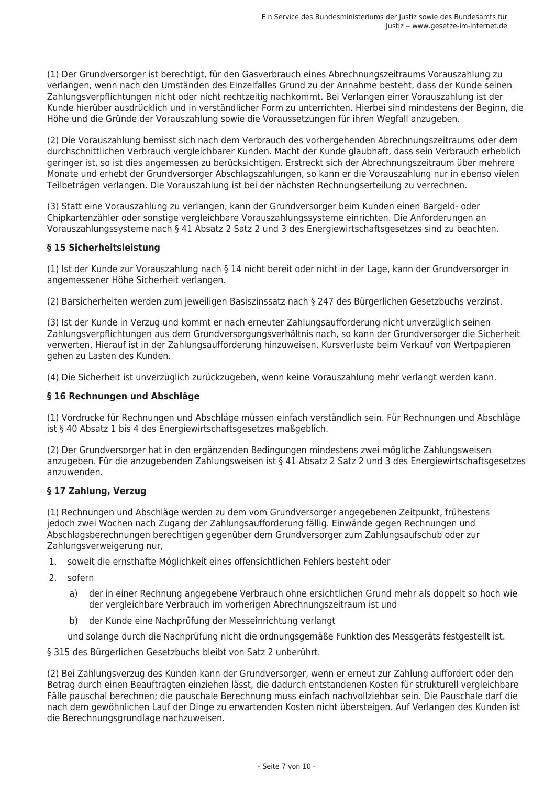(1) Der Grundversorger ist berechtigt, für den Gasverbrauch eines Abrechnungszeitraums Vorauszahlung zu verlangen, wenn nach den Umständen des Einzelfalles Grund zu der Annahme besteht, dass der Kunde seinen Zahlungsverpflichtungen nicht oder nicht rechtzeitig nachkommt. Bei Verlangen einer Vorauszahlung ist der Kunde hierüber ausdrücklich und in verständlicher Form zu unterrichten. Hierbei sind mindestens der Beginn, die Höhe und die Gründe der Vorauszahlung sowie die Voraussetzungen für ihren Wegfall anzugeben.

(2) Die Vorauszahlung bemisst sich nach dem Verbrauch des vorhergehenden Abrechnungszeitraums oder dem durchschnittlichen Verbrauch vergleichbarer Kunden. Macht der Kunde glaubhaft, dass sein Verbrauch erheblich geringer ist, so ist dies angemessen zu berücksichtigen. Erstreckt sich der Abrechnungszeitraum über mehrere Monate und erhebt der Grundversorger Abschlagszahlungen, so kann er die Vorauszahlung nur in ebenso vielen Teilbeträgen verlangen. Die Vorauszahlung ist bei der nächsten Rechnungserteilung zu verrechnen.

(3) Statt eine Vorauszahlung zu verlangen, kann der Grundversorger beim Kunden einen Bargeld- oder Chipkartenzähler oder sonstige vergleichbare Vorauszahlungssysteme einrichten. Die Anforderungen an Vorauszahlungssysteme nach § 41 Absatz 2 Satz 2 und 3 des Energiewirtschaftsgesetzes sind zu beachten.

# § 15 Sicherheitsleistung

(1) Ist der Kunde zur Vorauszahlung nach § 14 nicht bereit oder nicht in der Lage, kann der Grundversorger in angemessener Höhe Sicherheit verlangen.

(2) Barsicherheiten werden zum jeweiligen Basiszinssatz nach § 247 des Bürgerlichen Gesetzbuchs verzinst.

(3) Ist der Kunde in Verzug und kommt er nach erneuter Zahlungsaufforderung nicht unverzüglich seinen Zahlungsverpflichtungen aus dem Grundversorgungsverhältnis nach, so kann der Grundversorger die Sicherheit verwerten. Hierauf ist in der Zahlungsaufforderung hinzuweisen. Kursverluste beim Verkauf von Wertpapieren gehen zu Lasten des Kunden.

(4) Die Sicherheit ist unverzüglich zurückzugeben, wenn keine Vorauszahlung mehr verlangt werden kann.

#### § 16 Rechnungen und Abschläge

(1) Vordrucke für Rechnungen und Abschläge müssen einfach verständlich sein. Für Rechnungen und Abschläge ist § 40 Absatz 1 bis 4 des Energiewirtschaftsgesetzes maßgeblich.

(2) Der Grundversorger hat in den ergänzenden Bedingungen mindestens zwei mögliche Zahlungsweisen anzugeben. Für die anzugebenden Zahlungsweisen ist § 41 Absatz 2 Satz 2 und 3 des Energiewirtschaftsgesetzes anzuwenden.

#### § 17 Zahlung, Verzug

(1) Rechnungen und Abschläge werden zu dem vom Grundversorger angegebenen Zeitpunkt, frühestens jedoch zwei Wochen nach Zugang der Zahlungsaufforderung fällig. Einwände gegen Rechnungen und Abschlagsberechnungen berechtigen gegenüber dem Grundversorger zum Zahlungsaufschub oder zur Zahlungsverweigerung nur,

- soweit die ernsthafte Möglichkeit eines offensichtlichen Fehlers besteht oder  $\mathbf{1}$
- $\mathcal{D}$ sofern
	- $a)$ der in einer Rechnung angegebene Verbrauch ohne ersichtlichen Grund mehr als doppelt so hoch wie der vergleichbare Verbrauch im vorherigen Abrechnungszeitraum ist und
	- der Kunde eine Nachprüfung der Messeinrichtung verlangt  $h$

und solange durch die Nachprüfung nicht die ordnungsgemäße Funktion des Messgeräts festgestellt ist.

§ 315 des Bürgerlichen Gesetzbuchs bleibt von Satz 2 unberührt.

(2) Bei Zahlungsverzug des Kunden kann der Grundversorger, wenn er erneut zur Zahlung auffordert oder den Betrag durch einen Beauftragten einziehen lässt, die dadurch entstandenen Kosten für strukturell vergleichbare Fälle pauschal berechnen; die pauschale Berechnung muss einfach nachvollziehbar sein. Die Pauschale darf die nach dem gewöhnlichen Lauf der Dinge zu erwartenden Kosten nicht übersteigen. Auf Verlangen des Kunden ist die Berechnungsgrundlage nachzuweisen.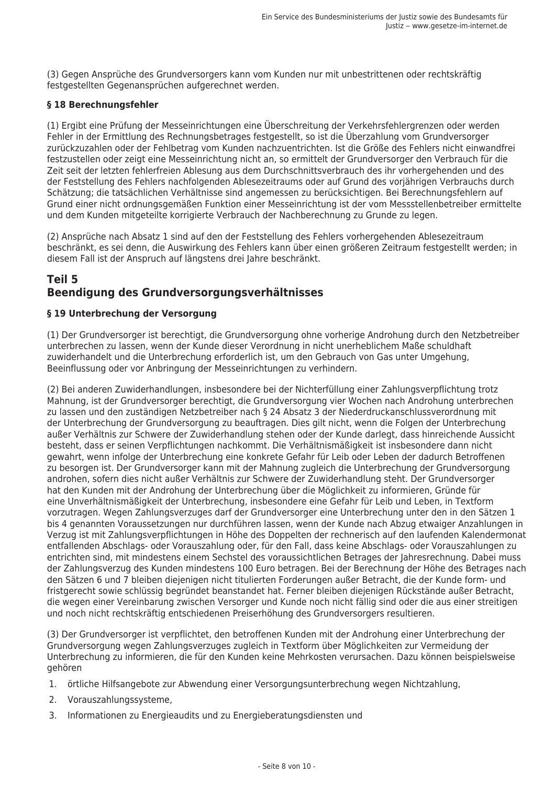(3) Gegen Ansprüche des Grundversorgers kann vom Kunden nur mit unbestrittenen oder rechtskräftig festgestellten Gegenansprüchen aufgerechnet werden.

#### § 18 Berechnungsfehler

(1) Ergibt eine Prüfung der Messeinrichtungen eine Überschreitung der Verkehrsfehlergrenzen oder werden Fehler in der Ermittlung des Rechnungsbetrages festgestellt, so ist die Überzahlung vom Grundversorger zurückzuzahlen oder der Fehlbetrag vom Kunden nachzuentrichten. Ist die Größe des Fehlers nicht einwandfrei festzustellen oder zeigt eine Messeinrichtung nicht an, so ermittelt der Grundversorger den Verbrauch für die Zeit seit der letzten fehlerfreien Ablesung aus dem Durchschnittsverbrauch des ihr vorhergehenden und des der Feststellung des Fehlers nachfolgenden Ablesezeitraums oder auf Grund des vorjährigen Verbrauchs durch Schätzung; die tatsächlichen Verhältnisse sind angemessen zu berücksichtigen. Bei Berechnungsfehlern auf Grund einer nicht ordnungsgemäßen Funktion einer Messeinrichtung ist der vom Messstellenbetreiber ermittelte und dem Kunden mitgeteilte korrigierte Verbrauch der Nachberechnung zu Grunde zu legen.

(2) Ansprüche nach Absatz 1 sind auf den der Feststellung des Fehlers vorhergehenden Ablesezeitraum beschränkt, es sei denn, die Auswirkung des Fehlers kann über einen größeren Zeitraum festgestellt werden; in diesem Fall ist der Anspruch auf längstens drei Jahre beschränkt.

# Teil 5 Beendiauna des Grundversoraunasverhältnisses

# § 19 Unterbrechung der Versorgung

(1) Der Grundversorger ist berechtigt, die Grundversorgung ohne vorherige Androhung durch den Netzbetreiber unterbrechen zu lassen, wenn der Kunde dieser Verordnung in nicht unerheblichem Maße schuldhaft zuwiderhandelt und die Unterbrechung erforderlich ist, um den Gebrauch von Gas unter Umgehung, Beeinflussung oder vor Anbringung der Messeinrichtungen zu verhindern.

(2) Bei anderen Zuwiderhandlungen, insbesondere bei der Nichterfüllung einer Zahlungsverpflichtung trotz Mahnung, ist der Grundversorger berechtigt, die Grundversorgung vier Wochen nach Androhung unterbrechen zu lassen und den zuständigen Netzbetreiber nach § 24 Absatz 3 der Niederdruckanschlussverordnung mit der Unterbrechung der Grundversorgung zu beauftragen. Dies gilt nicht, wenn die Folgen der Unterbrechung außer Verhältnis zur Schwere der Zuwiderhandlung stehen oder der Kunde darlegt, dass hinreichende Aussicht besteht, dass er seinen Verpflichtungen nachkommt. Die Verhältnismäßigkeit ist insbesondere dann nicht gewahrt, wenn infolge der Unterbrechung eine konkrete Gefahr für Leib oder Leben der dadurch Betroffenen zu besorgen ist. Der Grundversorger kann mit der Mahnung zugleich die Unterbrechung der Grundversorgung androhen, sofern dies nicht außer Verhältnis zur Schwere der Zuwiderhandlung steht. Der Grundversorger hat den Kunden mit der Androhung der Unterbrechung über die Möglichkeit zu informieren, Gründe für eine Unverhältnismäßigkeit der Unterbrechung, insbesondere eine Gefahr für Leib und Leben, in Textform vorzutragen. Wegen Zahlungsverzuges darf der Grundversorger eine Unterbrechung unter den in den Sätzen 1 bis 4 genannten Voraussetzungen nur durchführen lassen, wenn der Kunde nach Abzug etwaiger Anzahlungen in Verzug ist mit Zahlungsverpflichtungen in Höhe des Doppelten der rechnerisch auf den laufenden Kalendermonat entfallenden Abschlags- oder Vorauszahlung oder, für den Fall, dass keine Abschlags- oder Vorauszahlungen zu entrichten sind, mit mindestens einem Sechstel des voraussichtlichen Betrages der lahresrechnung. Dabei muss der Zahlungsverzug des Kunden mindestens 100 Euro betragen. Bei der Berechnung der Höhe des Betrages nach den Sätzen 6 und 7 bleiben diejenigen nicht titulierten Forderungen außer Betracht, die der Kunde form- und fristgerecht sowie schlüssig begründet beanstandet hat. Ferner bleiben diejenigen Rückstände außer Betracht, die wegen einer Vereinbarung zwischen Versorger und Kunde noch nicht fällig sind oder die aus einer streitigen und noch nicht rechtskräftig entschiedenen Preiserhöhung des Grundversorgers resultieren.

(3) Der Grundversorger ist verpflichtet, den betroffenen Kunden mit der Androhung einer Unterbrechung der Grundversorgung wegen Zahlungsverzuges zugleich in Textform über Möglichkeiten zur Vermeidung der Unterbrechung zu informieren, die für den Kunden keine Mehrkosten verursachen. Dazu können beispielsweise aehören

- 1. örtliche Hilfsangebote zur Abwendung einer Versorgungsunterbrechung wegen Nichtzahlung,
- 2. Vorauszahlungssysteme,
- Informationen zu Energieaudits und zu Energieberatungsdiensten und  $\mathcal{L}$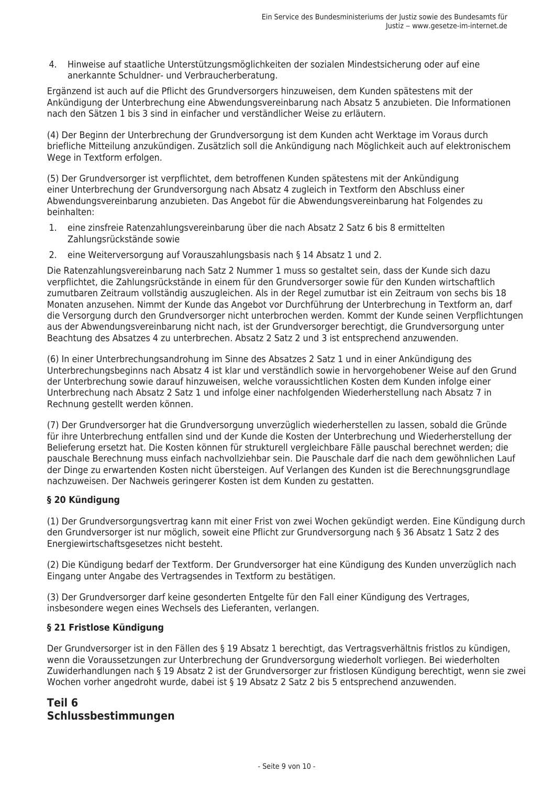4. Hinweise auf staatliche Unterstützungsmöglichkeiten der sozialen Mindestsicherung oder auf eine anerkannte Schuldner- und Verbraucherberatung.

Ergänzend ist auch auf die Pflicht des Grundversorgers hinzuweisen, dem Kunden spätestens mit der Ankündigung der Unterbrechung eine Abwendungsvereinbarung nach Absatz 5 anzubieten. Die Informationen nach den Sätzen 1 bis 3 sind in einfacher und verständlicher Weise zu erläutern.

(4) Der Beginn der Unterbrechung der Grundversorgung ist dem Kunden acht Werktage im Voraus durch briefliche Mitteilung anzukündigen. Zusätzlich soll die Ankündigung nach Möglichkeit auch auf elektronischem Wege in Textform erfolgen.

(5) Der Grundversorger ist verpflichtet, dem betroffenen Kunden spätestens mit der Ankündigung einer Unterbrechung der Grundversorgung nach Absatz 4 zugleich in Textform den Abschluss einer Abwendungsvereinbarung anzubieten. Das Angebot für die Abwendungsvereinbarung hat Folgendes zu heinhalten:

- $\mathbf{1}$ eine zinsfreie Ratenzahlungsvereinbarung über die nach Absatz 2 Satz 6 bis 8 ermittelten Zahlungsrückstände sowie
- 2. eine Weiterversorgung auf Vorauszahlungsbasis nach § 14 Absatz 1 und 2.

Die Ratenzahlungsvereinbarung nach Satz 2 Nummer 1 muss so gestaltet sein, dass der Kunde sich dazu verpflichtet, die Zahlungsrückstände in einem für den Grundversorger sowie für den Kunden wirtschaftlich zumutbaren Zeitraum vollständig auszugleichen. Als in der Regel zumutbar ist ein Zeitraum von sechs bis 18 Monaten anzusehen. Nimmt der Kunde das Angebot vor Durchführung der Unterbrechung in Textform an, darf die Versorgung durch den Grundversorger nicht unterbrochen werden. Kommt der Kunde seinen Verpflichtungen aus der Abwendungsvereinbarung nicht nach, ist der Grundversorger berechtigt, die Grundversorgung unter Beachtung des Absatzes 4 zu unterbrechen. Absatz 2 Satz 2 und 3 ist entsprechend anzuwenden.

(6) In einer Unterbrechungsandrohung im Sinne des Absatzes 2 Satz 1 und in einer Ankündigung des Unterbrechungsbeginns nach Absatz 4 ist klar und verständlich sowie in hervorgehobener Weise auf den Grund der Unterbrechung sowie darauf hinzuweisen, welche voraussichtlichen Kosten dem Kunden infolge einer Unterbrechung nach Absatz 2 Satz 1 und infolge einer nachfolgenden Wiederherstellung nach Absatz 7 in Rechnung gestellt werden können.

(7) Der Grundversorger hat die Grundversorgung unverzüglich wiederherstellen zu lassen, sobald die Gründe für ihre Unterbrechung entfallen sind und der Kunde die Kosten der Unterbrechung und Wiederherstellung der Belieferung ersetzt hat. Die Kosten können für strukturell vergleichbare Fälle pauschal berechnet werden; die pauschale Berechnung muss einfach nachvollziehbar sein. Die Pauschale darf die nach dem gewöhnlichen Lauf der Dinge zu erwartenden Kosten nicht übersteigen. Auf Verlangen des Kunden ist die Berechnungsgrundlage nachzuweisen. Der Nachweis geringerer Kosten ist dem Kunden zu gestatten.

# § 20 Kündigung

(1) Der Grundversorgungsvertrag kann mit einer Frist von zwei Wochen gekündigt werden. Eine Kündigung durch den Grundversorger ist nur möglich, soweit eine Pflicht zur Grundversorgung nach § 36 Absatz 1 Satz 2 des Energiewirtschaftsgesetzes nicht besteht.

(2) Die Kündigung bedarf der Textform. Der Grundversorger hat eine Kündigung des Kunden unverzüglich nach Eingang unter Angabe des Vertragsendes in Textform zu bestätigen.

(3) Der Grundversorger darf keine gesonderten Entgelte für den Fall einer Kündigung des Vertrages, insbesondere wegen eines Wechsels des Lieferanten, verlangen.

# § 21 Fristlose Kündigung

Der Grundversorger ist in den Fällen des § 19 Absatz 1 berechtigt, das Vertragsverhältnis fristlos zu kündigen, wenn die Voraussetzungen zur Unterbrechung der Grundversorgung wiederholt vorliegen. Bei wiederholten Zuwiderhandlungen nach § 19 Absatz 2 ist der Grundversorger zur fristlosen Kündigung berechtigt, wenn sie zwei Wochen vorher angedroht wurde, dabei ist § 19 Absatz 2 Satz 2 bis 5 entsprechend anzuwenden.

# Teil 6 Schlussbestimmungen